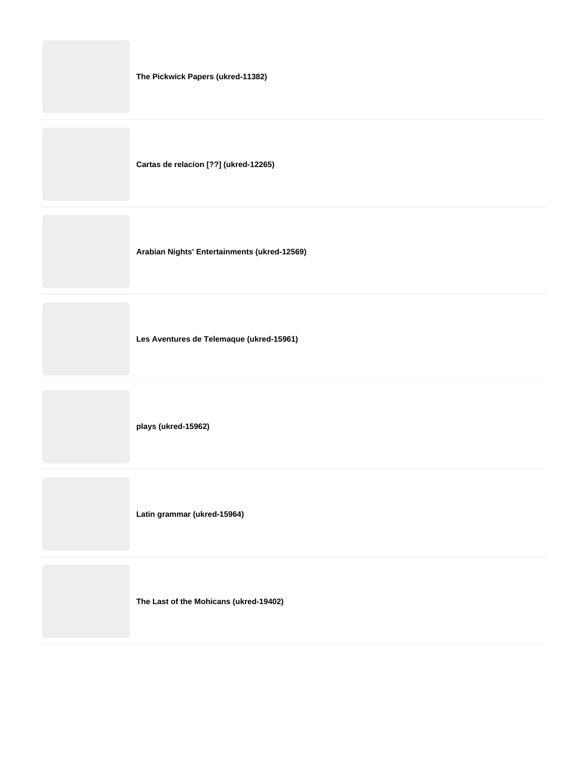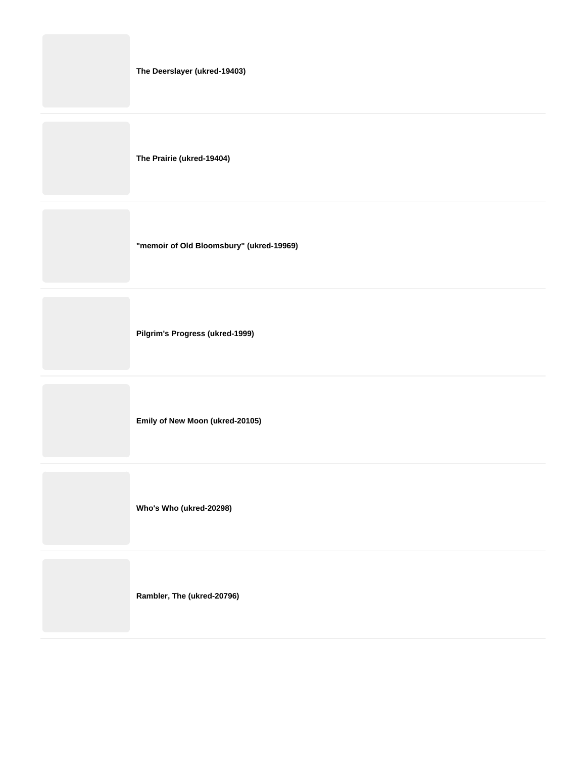|  |  |  | The Deerslayer (ukred-19403) |  |
|--|--|--|------------------------------|--|
|--|--|--|------------------------------|--|

**The Prairie (ukred-19404)**

**"memoir of Old Bloomsbury" (ukred-19969)**

**Pilgrim's Progress (ukred-1999)**

**Emily of New Moon (ukred-20105)**

**Who's Who (ukred-20298)**

**Rambler, The (ukred-20796)**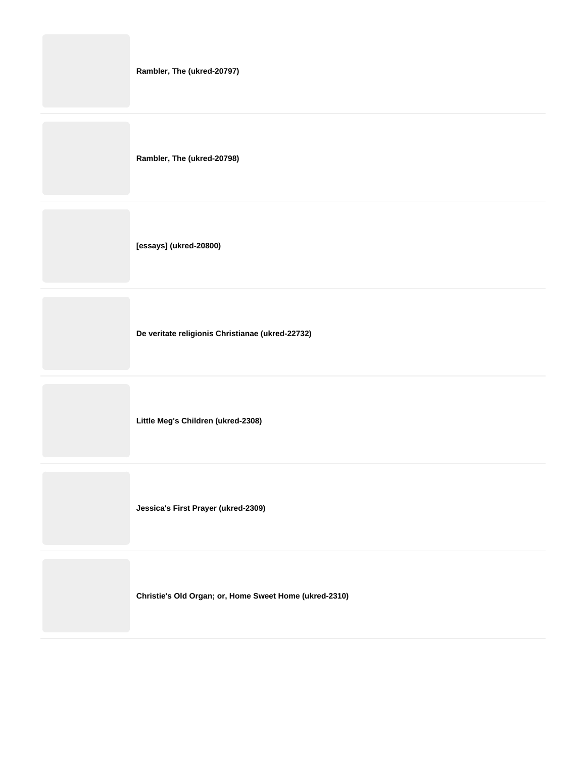| Rambler, The (ukred-20797) |
|----------------------------|
| Rambler, The (ukred-20798) |
| [essays] (ukred-20800)     |
|                            |

**De veritate religionis Christianae (ukred-22732)**

**Little Meg's Children (ukred-2308)**

**Jessica's First Prayer (ukred-2309)**

**Christie's Old Organ; or, Home Sweet Home (ukred-2310)**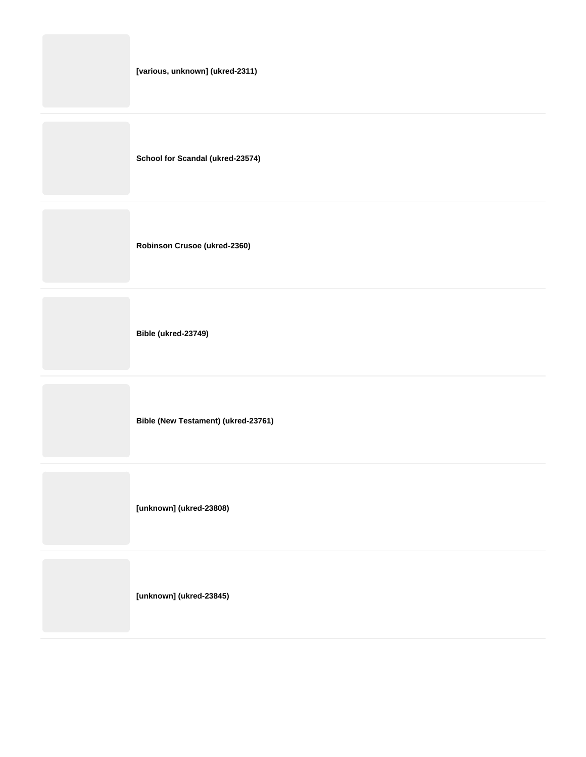|  |  |  | [various, unknown] (ukred-2311) |
|--|--|--|---------------------------------|
|--|--|--|---------------------------------|

**School for Scandal (ukred-23574)**

**Robinson Crusoe (ukred-2360)**

**Bible (ukred-23749)**

**Bible (New Testament) (ukred-23761)**

**[unknown] (ukred-23808)**

**[unknown] (ukred-23845)**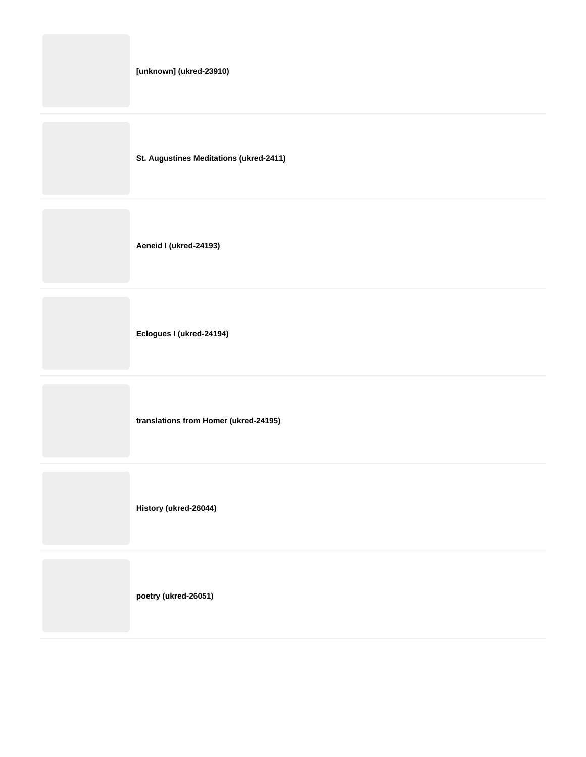**St. Augustines Meditations (ukred-2411)**

**Aeneid I (ukred-24193)**

**Eclogues I (ukred-24194)**

**translations from Homer (ukred-24195)**

**History (ukred-26044)**

**poetry (ukred-26051)**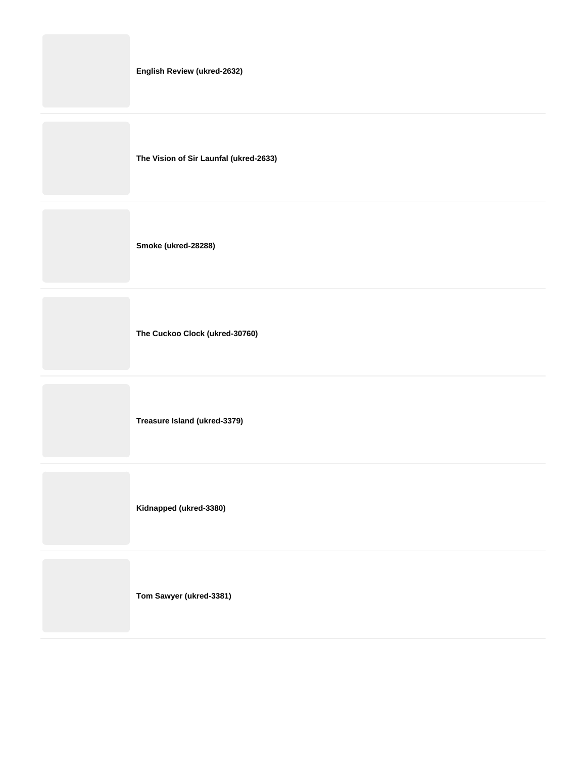| English Review (ukred-2632)            |
|----------------------------------------|
| The Vision of Sir Launfal (ukred-2633) |
| Smoke (ukred-28288)                    |
| The Cuckoo Clock (ukred-30760)         |

**Treasure Island (ukred-3379)**

**Kidnapped (ukred-3380)**

**Tom Sawyer (ukred-3381)**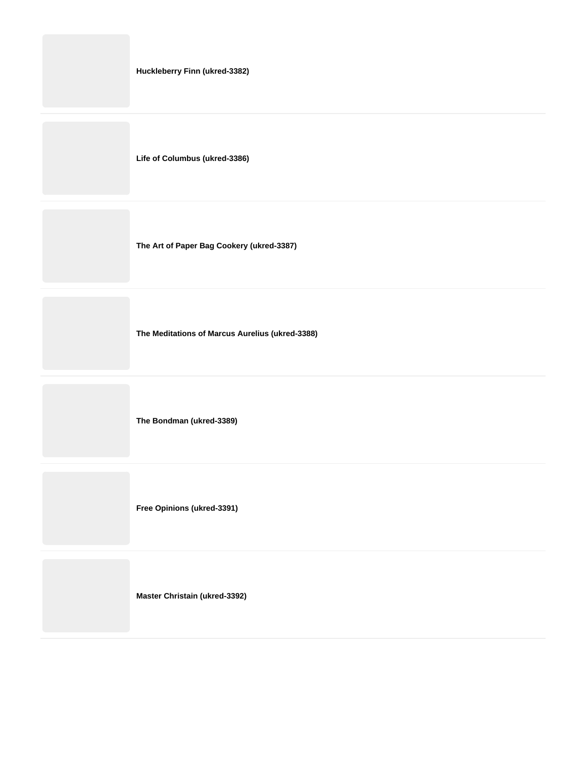|  | Huckleberry Finn (ukred-3382) |
|--|-------------------------------|
|--|-------------------------------|

**Life of Columbus (ukred-3386)**

**The Art of Paper Bag Cookery (ukred-3387)**

**The Meditations of Marcus Aurelius (ukred-3388)**

**The Bondman (ukred-3389)**

**Free Opinions (ukred-3391)**

**Master Christain (ukred-3392)**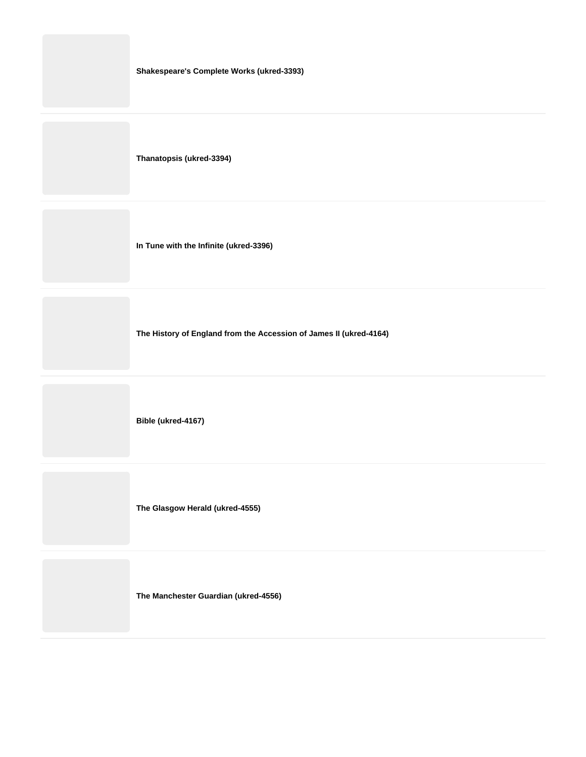**Thanatopsis (ukred-3394)**

**In Tune with the Infinite (ukred-3396)**

**The History of England from the Accession of James II (ukred-4164)**

**Bible (ukred-4167)**

**The Glasgow Herald (ukred-4555)**

**The Manchester Guardian (ukred-4556)**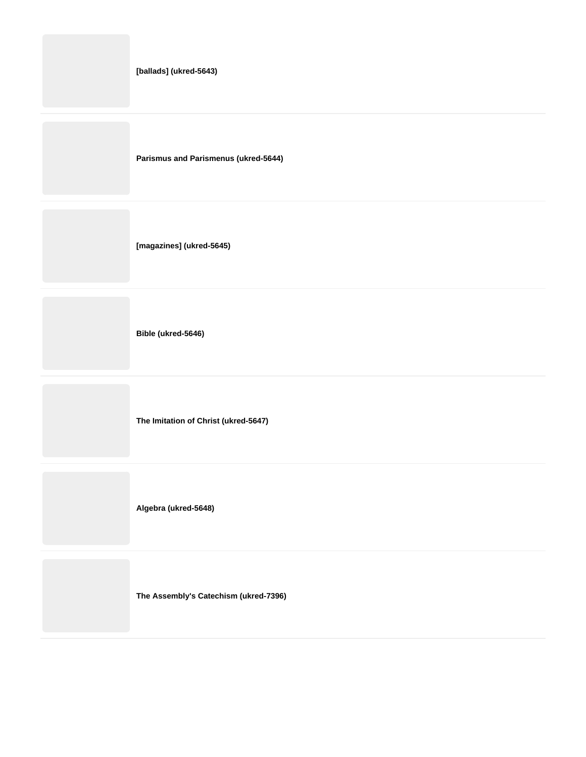|  | [ballads] (ukred-5643) |
|--|------------------------|
|--|------------------------|

**Parismus and Parismenus (ukred-5644)**

**[magazines] (ukred-5645)**

**Bible (ukred-5646)**

**The Imitation of Christ (ukred-5647)**

**Algebra (ukred-5648)**

**The Assembly's Catechism (ukred-7396)**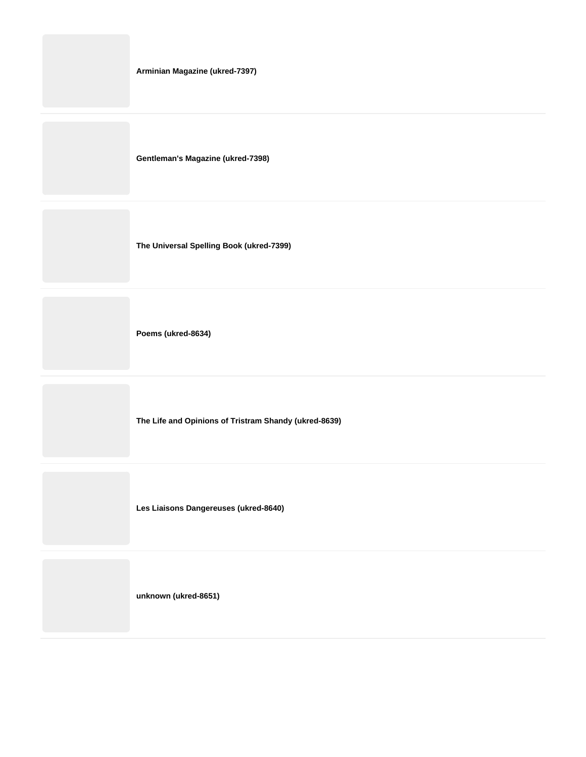**Gentleman's Magazine (ukred-7398)**

**The Universal Spelling Book (ukred-7399)**

**Poems (ukred-8634)**

**The Life and Opinions of Tristram Shandy (ukred-8639)**

**Les Liaisons Dangereuses (ukred-8640)**

**unknown (ukred-8651)**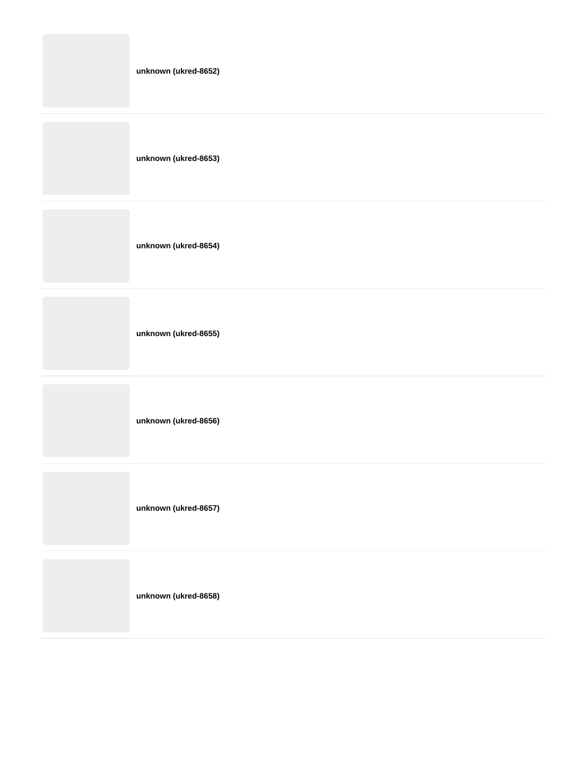| unknown (ukred-8652) |
|----------------------|
| unknown (ukred-8653) |
| unknown (ukred-8654) |
| unknown (ukred-8655) |
| unknown (ukred-8656) |
| unknown (ukred-8657) |
|                      |

**unknown (ukred-8658)**